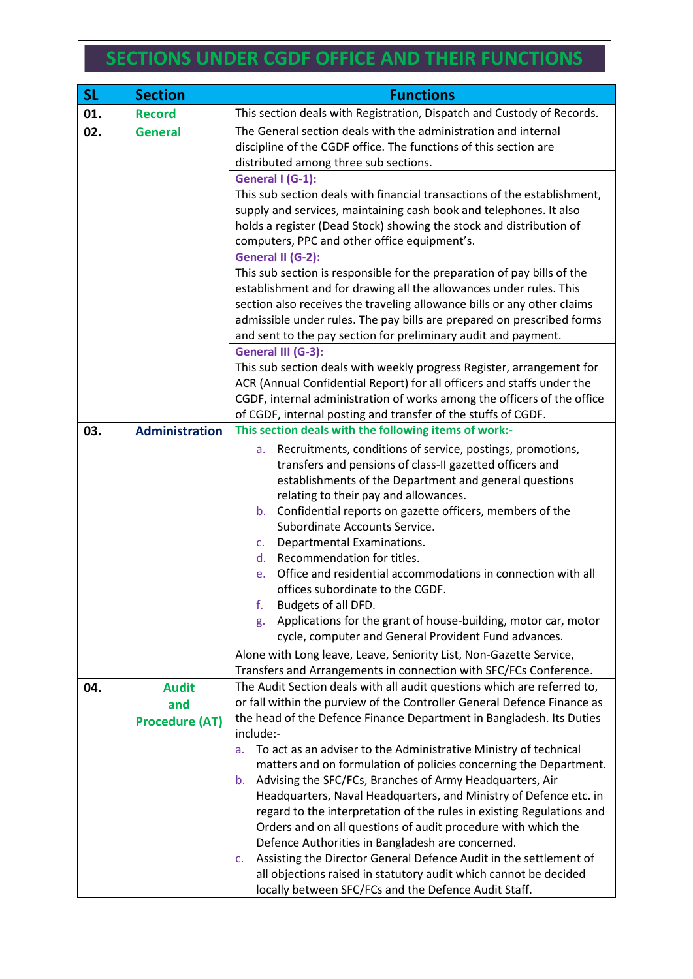## **SECTIONS UNDER CGDF OFFICE AND THEIR FUNCTIONS**

| <b>SL</b> | <b>Section</b>        | <b>Functions</b>                                                                                                                                                                                                                                                                                                                                                     |
|-----------|-----------------------|----------------------------------------------------------------------------------------------------------------------------------------------------------------------------------------------------------------------------------------------------------------------------------------------------------------------------------------------------------------------|
| 01.       | <b>Record</b>         | This section deals with Registration, Dispatch and Custody of Records.                                                                                                                                                                                                                                                                                               |
| 02.       | <b>General</b>        | The General section deals with the administration and internal<br>discipline of the CGDF office. The functions of this section are<br>distributed among three sub sections.                                                                                                                                                                                          |
|           |                       | General I (G-1):<br>This sub section deals with financial transactions of the establishment,                                                                                                                                                                                                                                                                         |
|           |                       | supply and services, maintaining cash book and telephones. It also                                                                                                                                                                                                                                                                                                   |
|           |                       | holds a register (Dead Stock) showing the stock and distribution of                                                                                                                                                                                                                                                                                                  |
|           |                       | computers, PPC and other office equipment's.                                                                                                                                                                                                                                                                                                                         |
|           |                       | General II (G-2):                                                                                                                                                                                                                                                                                                                                                    |
|           |                       | This sub section is responsible for the preparation of pay bills of the<br>establishment and for drawing all the allowances under rules. This<br>section also receives the traveling allowance bills or any other claims<br>admissible under rules. The pay bills are prepared on prescribed forms<br>and sent to the pay section for preliminary audit and payment. |
|           |                       | General III (G-3):                                                                                                                                                                                                                                                                                                                                                   |
|           |                       | This sub section deals with weekly progress Register, arrangement for<br>ACR (Annual Confidential Report) for all officers and staffs under the                                                                                                                                                                                                                      |
|           |                       | CGDF, internal administration of works among the officers of the office                                                                                                                                                                                                                                                                                              |
|           |                       | of CGDF, internal posting and transfer of the stuffs of CGDF.                                                                                                                                                                                                                                                                                                        |
| 03.       | <b>Administration</b> | This section deals with the following items of work:-                                                                                                                                                                                                                                                                                                                |
|           |                       | Recruitments, conditions of service, postings, promotions,<br>a.                                                                                                                                                                                                                                                                                                     |
|           |                       | transfers and pensions of class-II gazetted officers and<br>establishments of the Department and general questions                                                                                                                                                                                                                                                   |
|           |                       | relating to their pay and allowances.                                                                                                                                                                                                                                                                                                                                |
|           |                       | b. Confidential reports on gazette officers, members of the                                                                                                                                                                                                                                                                                                          |
|           |                       | Subordinate Accounts Service.                                                                                                                                                                                                                                                                                                                                        |
|           |                       | Departmental Examinations.<br>C.                                                                                                                                                                                                                                                                                                                                     |
|           |                       | Recommendation for titles.<br>d.<br>Office and residential accommodations in connection with all<br>e.                                                                                                                                                                                                                                                               |
|           |                       | offices subordinate to the CGDF.                                                                                                                                                                                                                                                                                                                                     |
|           |                       | f.<br>Budgets of all DFD.                                                                                                                                                                                                                                                                                                                                            |
|           |                       | Applications for the grant of house-building, motor car, motor<br>g.                                                                                                                                                                                                                                                                                                 |
|           |                       | cycle, computer and General Provident Fund advances.                                                                                                                                                                                                                                                                                                                 |
|           |                       | Alone with Long leave, Leave, Seniority List, Non-Gazette Service,<br>Transfers and Arrangements in connection with SFC/FCs Conference.                                                                                                                                                                                                                              |
| 04.       | <b>Audit</b>          | The Audit Section deals with all audit questions which are referred to,                                                                                                                                                                                                                                                                                              |
|           | and                   | or fall within the purview of the Controller General Defence Finance as                                                                                                                                                                                                                                                                                              |
|           | <b>Procedure (AT)</b> | the head of the Defence Finance Department in Bangladesh. Its Duties                                                                                                                                                                                                                                                                                                 |
|           |                       | include:-                                                                                                                                                                                                                                                                                                                                                            |
|           |                       | To act as an adviser to the Administrative Ministry of technical<br>a.<br>matters and on formulation of policies concerning the Department.                                                                                                                                                                                                                          |
|           |                       | Advising the SFC/FCs, Branches of Army Headquarters, Air<br>b.                                                                                                                                                                                                                                                                                                       |
|           |                       | Headquarters, Naval Headquarters, and Ministry of Defence etc. in                                                                                                                                                                                                                                                                                                    |
|           |                       | regard to the interpretation of the rules in existing Regulations and                                                                                                                                                                                                                                                                                                |
|           |                       | Orders and on all questions of audit procedure with which the                                                                                                                                                                                                                                                                                                        |
|           |                       | Defence Authorities in Bangladesh are concerned.                                                                                                                                                                                                                                                                                                                     |
|           |                       | Assisting the Director General Defence Audit in the settlement of<br>C.<br>all objections raised in statutory audit which cannot be decided                                                                                                                                                                                                                          |
|           |                       | locally between SFC/FCs and the Defence Audit Staff.                                                                                                                                                                                                                                                                                                                 |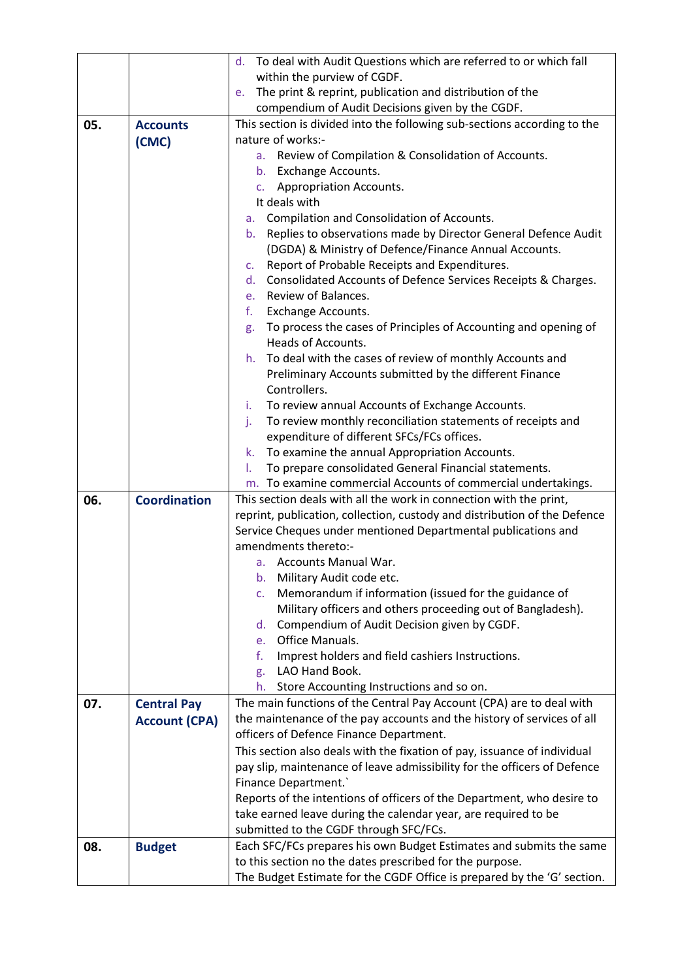|     |                      | d. To deal with Audit Questions which are referred to or which fall                                                                 |
|-----|----------------------|-------------------------------------------------------------------------------------------------------------------------------------|
|     |                      | within the purview of CGDF.                                                                                                         |
|     |                      | The print & reprint, publication and distribution of the<br>e.                                                                      |
|     |                      | compendium of Audit Decisions given by the CGDF.                                                                                    |
| 05. | <b>Accounts</b>      | This section is divided into the following sub-sections according to the                                                            |
|     | (CMC)                | nature of works:-                                                                                                                   |
|     |                      | a. Review of Compilation & Consolidation of Accounts.                                                                               |
|     |                      | b. Exchange Accounts.                                                                                                               |
|     |                      | c. Appropriation Accounts.                                                                                                          |
|     |                      | It deals with                                                                                                                       |
|     |                      | Compilation and Consolidation of Accounts.<br>a.                                                                                    |
|     |                      | Replies to observations made by Director General Defence Audit<br>$b_{\cdot}$                                                       |
|     |                      | (DGDA) & Ministry of Defence/Finance Annual Accounts.                                                                               |
|     |                      | Report of Probable Receipts and Expenditures.<br>C.                                                                                 |
|     |                      | d. Consolidated Accounts of Defence Services Receipts & Charges.                                                                    |
|     |                      | Review of Balances.<br>e.                                                                                                           |
|     |                      | f.<br>Exchange Accounts.                                                                                                            |
|     |                      | To process the cases of Principles of Accounting and opening of<br>g.                                                               |
|     |                      | Heads of Accounts.                                                                                                                  |
|     |                      | h. To deal with the cases of review of monthly Accounts and                                                                         |
|     |                      | Preliminary Accounts submitted by the different Finance                                                                             |
|     |                      | Controllers.                                                                                                                        |
|     |                      | To review annual Accounts of Exchange Accounts.<br>i.                                                                               |
|     |                      | To review monthly reconciliation statements of receipts and<br>j.                                                                   |
|     |                      | expenditure of different SFCs/FCs offices.                                                                                          |
|     |                      | To examine the annual Appropriation Accounts.<br>k.                                                                                 |
|     |                      | To prepare consolidated General Financial statements.<br>I.                                                                         |
| 06. | <b>Coordination</b>  | m. To examine commercial Accounts of commercial undertakings.<br>This section deals with all the work in connection with the print, |
|     |                      | reprint, publication, collection, custody and distribution of the Defence                                                           |
|     |                      | Service Cheques under mentioned Departmental publications and                                                                       |
|     |                      | amendments thereto:-                                                                                                                |
|     |                      | a. Accounts Manual War.                                                                                                             |
|     |                      | b. Military Audit code etc.                                                                                                         |
|     |                      | Memorandum if information (issued for the guidance of<br>c.                                                                         |
|     |                      | Military officers and others proceeding out of Bangladesh).                                                                         |
|     |                      | Compendium of Audit Decision given by CGDF.<br>d.                                                                                   |
|     |                      | Office Manuals.<br>$e_{1}$                                                                                                          |
|     |                      | f.<br>Imprest holders and field cashiers Instructions.                                                                              |
|     |                      | LAO Hand Book.<br>g.                                                                                                                |
|     |                      | Store Accounting Instructions and so on.<br>h.                                                                                      |
| 07. | <b>Central Pay</b>   | The main functions of the Central Pay Account (CPA) are to deal with                                                                |
|     | <b>Account (CPA)</b> | the maintenance of the pay accounts and the history of services of all                                                              |
|     |                      | officers of Defence Finance Department.                                                                                             |
|     |                      | This section also deals with the fixation of pay, issuance of individual                                                            |
|     |                      | pay slip, maintenance of leave admissibility for the officers of Defence                                                            |
|     |                      | Finance Department.                                                                                                                 |
|     |                      | Reports of the intentions of officers of the Department, who desire to                                                              |
|     |                      | take earned leave during the calendar year, are required to be                                                                      |
|     |                      | submitted to the CGDF through SFC/FCs.                                                                                              |
| 08. | <b>Budget</b>        | Each SFC/FCs prepares his own Budget Estimates and submits the same                                                                 |
|     |                      | to this section no the dates prescribed for the purpose.                                                                            |
|     |                      | The Budget Estimate for the CGDF Office is prepared by the 'G' section.                                                             |